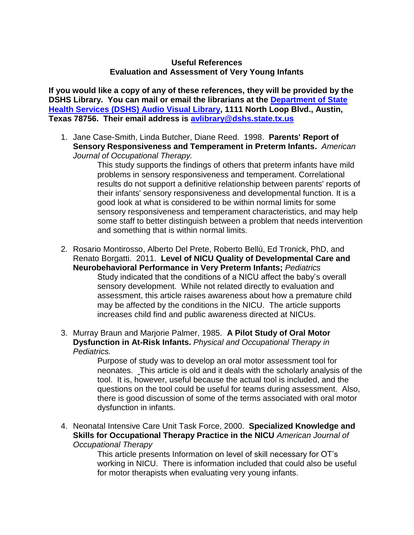## **Useful References Evaluation and Assessment of Very Young Infants**

**If you would like a copy of any of these references, they will be provided by the DSHS Library. You can mail or email the librarians at the [Department of State](http://www.dshs.state.tx.us/avlib/ecirehab.shtm)  [Health Services \(DSHS\) Audio Visual Library,](http://www.dshs.state.tx.us/avlib/ecirehab.shtm) 1111 North Loop Blvd., Austin, Texas 78756. Their email address is [avlibrary@dshs.state.tx.us](mailto:avlibrary@dshs.state.tx.us)** 

1. Jane Case-Smith, Linda Butcher, Diane Reed. 1998. **Parents' Report of Sensory Responsiveness and Temperament in Preterm Infants.** *American Journal of Occupational Therapy.* 

This study supports the findings of others that preterm infants have mild problems in sensory responsiveness and temperament. Correlational results do not support a definitive relationship between parents' reports of their infants' sensory responsiveness and developmental function*.* It is a good look at what is considered to be within normal limits for some sensory responsiveness and temperament characteristics, and may help some staff to better distinguish between a problem that needs intervention and something that is within normal limits.

- 2. Rosario Montirosso, Alberto Del Prete, Roberto Bellù, Ed Tronick, PhD, and Renato Borgatti. 2011. **Level of NICU Quality of Developmental Care and Neurobehavioral Performance in Very Preterm Infants;** *Pediatrics* Study indicated that the conditions of a NICU affect the baby's overall sensory development. While not related directly to evaluation and assessment, this article raises awareness about how a premature child may be affected by the conditions in the NICU. The article supports increases child find and public awareness directed at NICUs.
- 3. Murray Braun and Marjorie Palmer, 1985. **A Pilot Study of Oral Motor Dysfunction in At-Risk Infants.** *Physical and Occupational Therapy in Pediatrics.*

Purpose of study was to develop an oral motor assessment tool for neonates. This article is old and it deals with the scholarly analysis of the tool. It is, however, useful because the actual tool is included, and the questions on the tool could be useful for teams during assessment. Also, there is good discussion of some of the terms associated with oral motor dysfunction in infants.

4. Neonatal Intensive Care Unit Task Force, 2000. **Specialized Knowledge and Skills for Occupational Therapy Practice in the NICU** *American Journal of Occupational Therapy* 

> This article presents Information on level of skill necessary for OT's working in NICU. There is information included that could also be useful for motor therapists when evaluating very young infants.